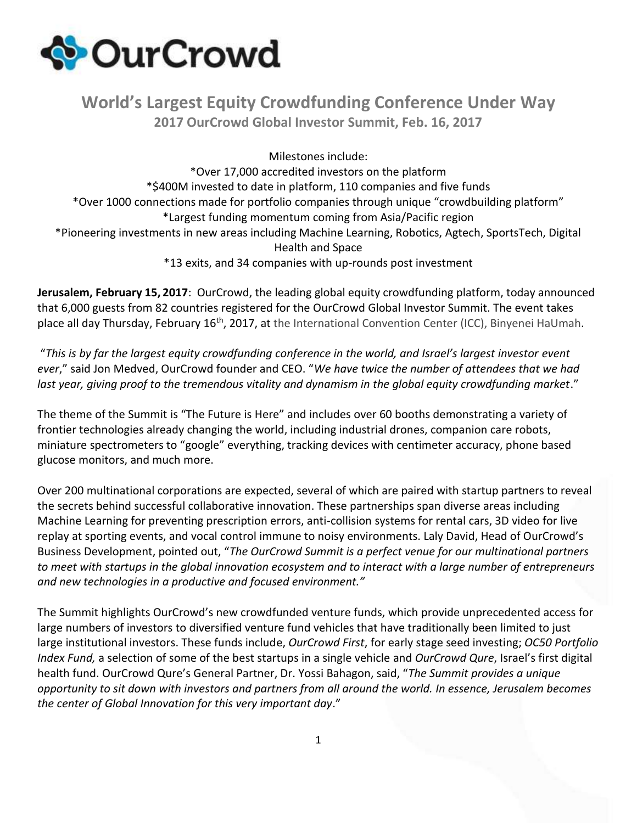

## **World's Largest Equity Crowdfunding Conference Under Way 2017 OurCrowd Global Investor Summit, Feb. 16, 2017**

Milestones include:

\*Over 17,000 accredited investors on the platform \*\$400M invested to date in platform, 110 companies and five funds \*Over 1000 connections made for portfolio companies through unique "crowdbuilding platform" \*Largest funding momentum coming from Asia/Pacific region \*Pioneering investments in new areas including Machine Learning, Robotics, Agtech, SportsTech, Digital Health and Space \*13 exits, and 34 companies with up-rounds post investment

**Jerusalem, February 15, 2017**: OurCrowd, the leading global equity crowdfunding platform, today announced that 6,000 guests from 82 countries registered for the OurCrowd Global Investor Summit. The event takes place all day Thursday, February 16<sup>th</sup>, 2017, at the International Convention Center (ICC), Binyenei HaUmah.

"This is by far the largest equity crowdfunding conference in the world, and Israel's largest investor event *ever*," said Jon Medved, OurCrowd founder and CEO. "*We have twice the number of attendees that we had last year, giving proof to the tremendous vitality and dynamism in the global equity crowdfunding market*."

The theme of the Summit is "The Future is Here" and includes over 60 booths demonstrating a variety of frontier technologies already changing the world, including industrial drones, companion care robots, miniature spectrometers to "google" everything, tracking devices with centimeter accuracy, phone based glucose monitors, and much more.

Over 200 multinational corporations are expected, several of which are paired with startup partners to reveal the secrets behind successful collaborative innovation. These partnerships span diverse areas including Machine Learning for preventing prescription errors, anti-collision systems for rental cars, 3D video for live replay at sporting events, and vocal control immune to noisy environments. Laly David, Head of OurCrowd's Business Development, pointed out, "*The OurCrowd Summit is a perfect venue for our multinational partners to meet with startups in the global innovation ecosystem and to interact with a large number of entrepreneurs and new technologies in a productive and focused environment."*

The Summit highlights OurCrowd's new crowdfunded venture funds, which provide unprecedented access for large numbers of investors to diversified venture fund vehicles that have traditionally been limited to just large institutional investors. These funds include, *OurCrowd First*, for early stage seed investing; *OC50 Portfolio Index Fund,* a selection of some of the best startups in a single vehicle and *OurCrowd Qure*, Israel's first digital health fund. OurCrowd Qure's General Partner, Dr. Yossi Bahagon, said, "*The Summit provides a unique opportunity to sit down with investors and partners from all around the world. In essence, Jerusalem becomes the center of Global Innovation for this very important day*."